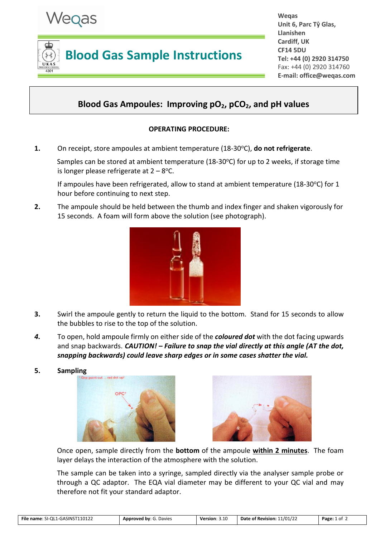

# **Blood Gas Sample Instructions**

**Weqas Unit 6, Parc Tŷ Glas, Llanishen Cardiff, UK CF14 5DU Tel: +44 (0) 2920 314750** Fax: +44 (0) 2920 314760 **E-mail: office@weqas.com**

# **Blood Gas Ampoules: Improving pO2, pCO2, and pH values**

## **OPERATING PROCEDURE:**

**1.** On receipt, store ampoules at ambient temperature (18-30°C), **do not refrigerate**.

Samples can be stored at ambient temperature  $(18-30^{\circ}C)$  for up to 2 weeks, if storage time is longer please refrigerate at  $2 - 8$  °C.

If ampoules have been refrigerated, allow to stand at ambient temperature (18-30°C) for 1 hour before continuing to next step.

**2.** The ampoule should be held between the thumb and index finger and shaken vigorously for 15 seconds. A foam will form above the solution (see photograph).



- **3.** Swirl the ampoule gently to return the liquid to the bottom. Stand for 15 seconds to allow the bubbles to rise to the top of the solution.
- *4.* To open, hold ampoule firmly on either side of the *coloured dot* with the dot facing upwards and snap backwards. *CAUTION! – Failure to snap the vial directly at this angle (AT the dot, snapping backwards) could leave sharp edges or in some cases shatter the vial.*
- **5. Sampling**





Once open, sample directly from the **bottom** of the ampoule **within 2 minutes**. The foam layer delays the interaction of the atmosphere with the solution.

The sample can be taken into a syringe, sampled directly via the analyser sample probe or through a QC adaptor. The EQA vial diameter may be different to your QC vial and may therefore not fit your standard adaptor.

| File name: SI-OL1-GASINST110122 | <b>Approved by: G. Davies</b> | Version: $3.10$ | Date of Revision: 11/01/22 | Page: 1 of |
|---------------------------------|-------------------------------|-----------------|----------------------------|------------|